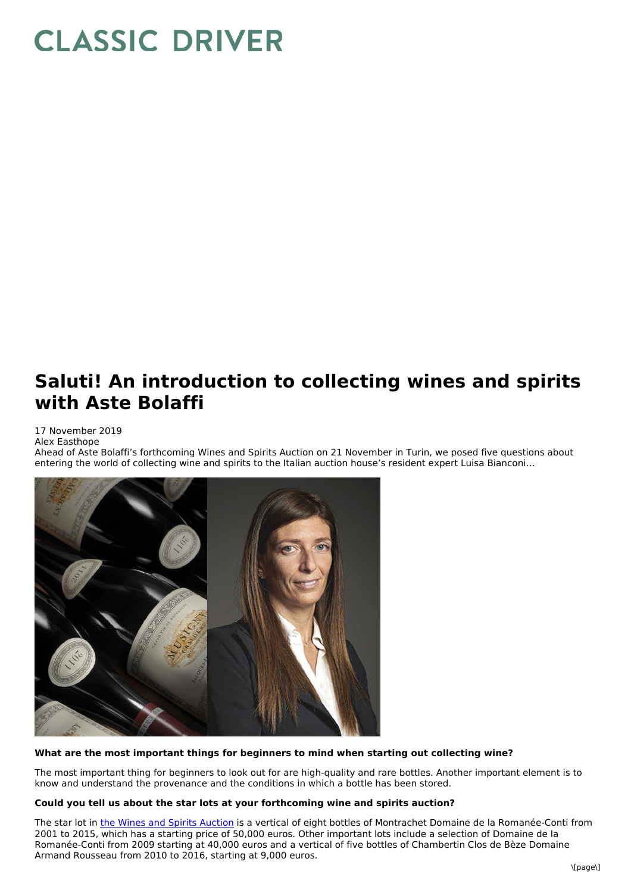# **CLASSIC DRIVER**

# **Saluti! An introduction to collecting wines and spirits with Aste Bolaffi**

## 17 November 2019

Alex Easthope

Ahead of Aste Bolaffi's forthcoming Wines and Spirits Auction on 21 November in Turin, we posed five questions about entering the world of collecting wine and spirits to the Italian auction house's resident expert Luisa Bianconi…



### **What are the most important things for beginners to mind when starting out collecting wine?**

The most important thing for beginners to look out for are high-quality and rare bottles. Another important element is to know and understand the provenance and the conditions in which a bottle has been stored.

#### **Could you tell us about the star lots at your forthcoming wine and spirits auction?**

The star lot in the Wines and Spirits [Auction](https://www.classicdriver.com/en/auction/aste-bolaffi-wines-and-spirits-auction-nov-2019?past_item=1&id=713241&type=art_collectibles) is a vertical of eight bottles of Montrachet Domaine de la Romanée-Conti from 2001 to 2015, which has a starting price of 50,000 euros. Other important lots include a selection of Domaine de la Romanée-Conti from 2009 starting at 40,000 euros and a vertical of five bottles of Chambertin Clos de Bèze Domaine Armand Rousseau from 2010 to 2016, starting at 9,000 euros.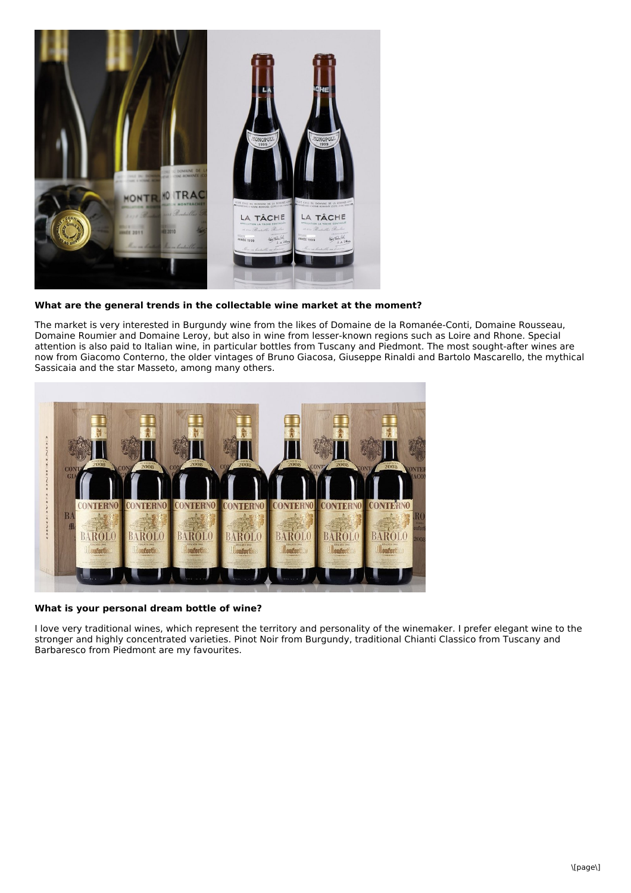

**What are the general trends in the collectable wine market at the moment?**

The market is very interested in Burgundy wine from the likes of Domaine de la Romanée-Conti, Domaine Rousseau, Domaine Roumier and Domaine Leroy, but also in wine from lesser-known regions such as Loire and Rhone. Special attention is also paid to Italian wine, in particular bottles from Tuscany and Piedmont. The most sought-after wines are now from Giacomo Conterno, the older vintages of Bruno Giacosa, Giuseppe Rinaldi and Bartolo Mascarello, the mythical Sassicaia and the star Masseto, among many others.



**What is your personal dream bottle of wine?**

I love very traditional wines, which represent the territory and personality of the winemaker. I prefer elegant wine to the stronger and highly concentrated varieties. Pinot Noir from Burgundy, traditional Chianti Classico from Tuscany and Barbaresco from Piedmont are my favourites.